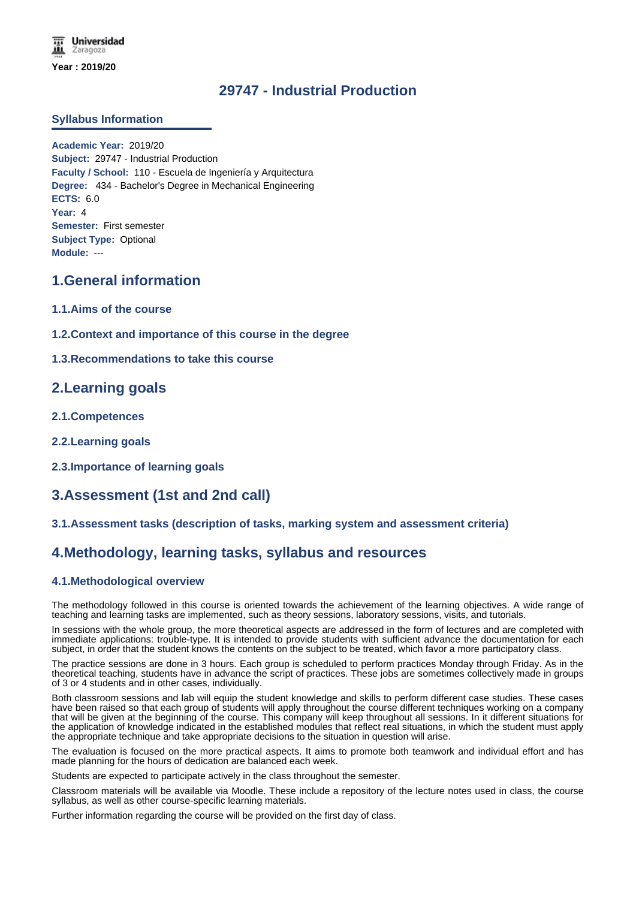# **29747 - Industrial Production**

## **Syllabus Information**

**Academic Year:** 2019/20 **Subject:** 29747 - Industrial Production **Faculty / School:** 110 - Escuela de Ingeniería y Arquitectura **Degree:** 434 - Bachelor's Degree in Mechanical Engineering **ECTS:** 6.0 **Year:** 4 **Semester:** First semester **Subject Type:** Optional **Module:** ---

# **1.General information**

- **1.1.Aims of the course**
- **1.2.Context and importance of this course in the degree**
- **1.3.Recommendations to take this course**

# **2.Learning goals**

- **2.1.Competences**
- **2.2.Learning goals**
- **2.3.Importance of learning goals**

# **3.Assessment (1st and 2nd call)**

## **3.1.Assessment tasks (description of tasks, marking system and assessment criteria)**

# **4.Methodology, learning tasks, syllabus and resources**

## **4.1.Methodological overview**

The methodology followed in this course is oriented towards the achievement of the learning objectives. A wide range of teaching and learning tasks are implemented, such as theory sessions, laboratory sessions, visits, and tutorials.

In sessions with the whole group, the more theoretical aspects are addressed in the form of lectures and are completed with immediate applications: trouble-type. It is intended to provide students with sufficient advance the documentation for each subject, in order that the student knows the contents on the subject to be treated, which favor a more participatory class.

The practice sessions are done in 3 hours. Each group is scheduled to perform practices Monday through Friday. As in the theoretical teaching, students have in advance the script of practices. These jobs are sometimes collectively made in groups of 3 or 4 students and in other cases, individually.

Both classroom sessions and lab will equip the student knowledge and skills to perform different case studies. These cases have been raised so that each group of students will apply throughout the course different techniques working on a company that will be given at the beginning of the course. This company will keep throughout all sessions. In it different situations for the application of knowledge indicated in the established modules that reflect real situations, in which the student must apply the appropriate technique and take appropriate decisions to the situation in question will arise.

The evaluation is focused on the more practical aspects. It aims to promote both teamwork and individual effort and has made planning for the hours of dedication are balanced each week.

Students are expected to participate actively in the class throughout the semester.

Classroom materials will be available via Moodle. These include a repository of the lecture notes used in class, the course syllabus, as well as other course-specific learning materials.

Further information regarding the course will be provided on the first day of class.